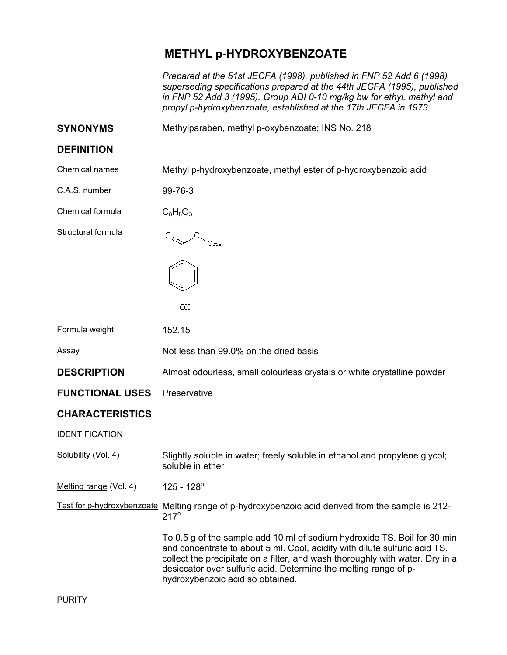## **METHYL p-HYDROXYBENZOATE**

*Prepared at the 51st JECFA (1998), published in FNP 52 Add 6 (1998) superseding specifications prepared at the 44th JECFA (1995), published in FNP 52 Add 3 (1995). Group ADI 0-10 mg/kg bw for ethyl, methyl and propyl p-hydroxybenzoate, established at the 17th JECFA in 1973.* 

**SYNONYMS** Methylparaben, methyl p-oxybenzoate; INS No. 218

## **DEFINITION**

Chemical names Methyl p-hydroxybenzoate, methyl ester of p-hydroxybenzoic acid

C.A.S. number 99-76-3

Chemical formula  $C_8H_8O_3$ 

Structural formula

Ο. .O.  $CH<sub>2</sub>$ OН

| Formula weight | 152.15 |
|----------------|--------|
|                |        |

Assay Not less than 99.0% on the dried basis

**DESCRIPTION** Almost odourless, small colourless crystals or white crystalline powder

**FUNCTIONAL USES** Preservative

## **CHARACTERISTICS**

IDENTIFICATION

Solubility (Vol. 4) Slightly soluble in water; freely soluble in ethanol and propylene glycol; soluble in ether

Melting range (Vol. 4)  $125 - 128^{\circ}$ 

Test for p-hydroxybenzoate Melting range of p-hydroxybenzoic acid derived from the sample is 212-  $217^\circ$ 

> To 0.5 g of the sample add 10 ml of sodium hydroxide TS. Boil for 30 min and concentrate to about 5 ml. Cool, acidify with dilute sulfuric acid TS, collect the precipitate on a filter, and wash thoroughly with water. Dry in a desiccator over sulfuric acid. Determine the melting range of phydroxybenzoic acid so obtained.